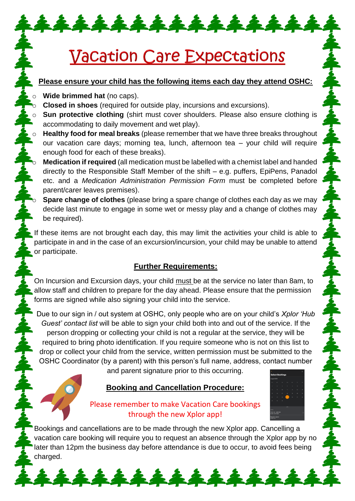# **Vacation Care Expectations**

\*\*\*\*\*\*\*\*\*\*\*\*\*

## **Please ensure your child has the following items each day they attend OSHC:**

**Wide brimmed hat** (no caps).

**Closed in shoes** (required for outside play, incursions and excursions).

**Sun protective clothing** (shirt must cover shoulders. Please also ensure clothing is accommodating to daily movement and wet play).

**Healthy food for meal breaks** (please remember that we have three breaks throughout our vacation care days; morning tea, lunch, afternoon tea – your child will require enough food for each of these breaks).

**Medication if required** (all medication must be labelled with a chemist label and handed directly to the Responsible Staff Member of the shift – e.g. puffers, EpiPens, Panadol etc. and a *Medication Administration Permission Form* must be completed before parent/carer leaves premises).

**Spare change of clothes** (please bring a spare change of clothes each day as we may decide last minute to engage in some wet or messy play and a change of clothes may be required).

If these items are not brought each day, this may limit the activities your child is able to participate in and in the case of an excursion/incursion, your child may be unable to attend or participate.

## **Further Requirements:**

On Incursion and Excursion days, your child must be at the service no later than 8am, to allow staff and children to prepare for the day ahead. Please ensure that the permission forms are signed while also signing your child into the service.

Due to our sign in / out system at OSHC, only people who are on your child's *Xplor 'Hub Guest' contact list* will be able to sign your child both into and out of the service. If the person dropping or collecting your child is not a regular at the service, they will be required to bring photo identification. If you require someone who is not on this list to drop or collect your child from the service, written permission must be submitted to the OSHC Coordinator (by a parent) with this person's full name, address, contact number

and parent signature prior to this occurring.

## **Booking and Cancellation Procedure:**



## Please remember to make Vacation Care bookings through the new Xplor app!

Bookings and cancellations are to be made through the new Xplor app. Cancelling a vacation care booking will require you to request an absence through the Xplor app by no later than 12pm the business day before attendance is due to occur, to avoid fees being charged.

\*\*\*\*\*\*\*\*\*\*\*\*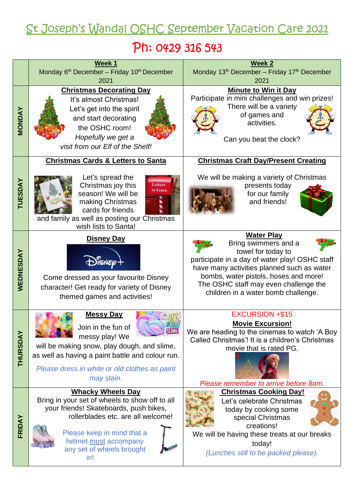# St Joseph's Wandal OSHC September Vacation Care 2021

# Ph: 0429 316 543